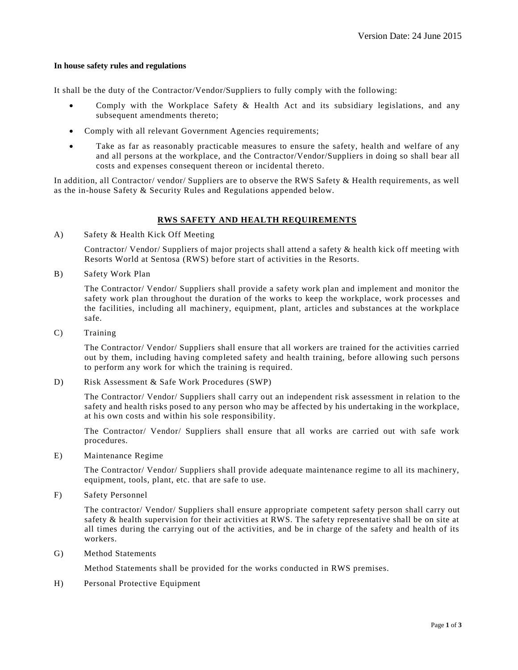## **In house safety rules and regulations**

It shall be the duty of the Contractor/Vendor/Suppliers to fully comply with the following:

- Comply with the Workplace Safety & Health Act and its subsidiary legislations, and any subsequent amendments thereto;
- Comply with all relevant Government Agencies requirements;
- Take as far as reasonably practicable measures to ensure the safety, health and welfare of any and all persons at the workplace, and the Contractor/Vendor/Suppliers in doing so shall bear all costs and expenses consequent thereon or incidental thereto.

In addition, all Contractor/ vendor/ Suppliers are to observe the RWS Safety & Health requirements, as well as the in-house Safety & Security Rules and Regulations appended below.

## **RWS SAFETY AND HEALTH REQUIREMENTS**

A) Safety & Health Kick Off Meeting

Contractor/ Vendor/ Suppliers of major projects shall attend a safety & health kick off meeting with Resorts World at Sentosa (RWS) before start of activities in the Resorts.

B) Safety Work Plan

The Contractor/ Vendor/ Suppliers shall provide a safety work plan and implement and monitor the safety work plan throughout the duration of the works to keep the workplace, work processes and the facilities, including all machinery, equipment, plant, articles and substances at the workplace safe.

C) Training

The Contractor/ Vendor/ Suppliers shall ensure that all workers are trained for the activities carried out by them, including having completed safety and health training, before allowing such persons to perform any work for which the training is required.

D) Risk Assessment & Safe Work Procedures (SWP)

The Contractor/ Vendor/ Suppliers shall carry out an independent risk assessment in relation to the safety and health risks posed to any person who may be affected by his undertaking in the workplace, at his own costs and within his sole responsibility.

The Contractor/ Vendor/ Suppliers shall ensure that all works are carried out with safe work procedures.

E) Maintenance Regime

The Contractor/ Vendor/ Suppliers shall provide adequate maintenance regime to all its machinery, equipment, tools, plant, etc. that are safe to use.

F) Safety Personnel

The contractor/ Vendor/ Suppliers shall ensure appropriate competent safety person shall carry out safety & health supervision for their activities at RWS. The safety representative shall be on site at all times during the carrying out of the activities, and be in charge of the safety and health of its workers.

G) Method Statements

Method Statements shall be provided for the works conducted in RWS premises.

H) Personal Protective Equipment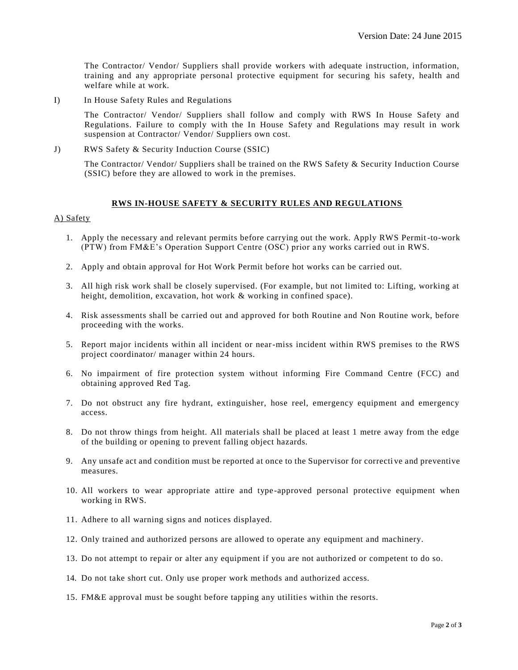The Contractor/ Vendor/ Suppliers shall provide workers with adequate instruction, information, training and any appropriate personal protective equipment for securing his safety, health and welfare while at work.

I) In House Safety Rules and Regulations

The Contractor/ Vendor/ Suppliers shall follow and comply with RWS In House Safety and Regulations. Failure to comply with the In House Safety and Regulations may result in work suspension at Contractor/ Vendor/ Suppliers own cost.

J) RWS Safety & Security Induction Course (SSIC)

The Contractor/ Vendor/ Suppliers shall be trained on the RWS Safety & Security Induction Course (SSIC) before they are allowed to work in the premises.

## **RWS IN-HOUSE SAFETY & SECURITY RULES AND REGULATIONS**

# A) Safety

- 1. Apply the necessary and relevant permits before carrying out the work. Apply RWS Permit-to-work (PTW) from FM&E's Operation Support Centre (OSC) prior any works carried out in RWS.
- 2. Apply and obtain approval for Hot Work Permit before hot works can be carried out.
- 3. All high risk work shall be closely supervised. (For example, but not limited to: Lifting, working at height, demolition, excavation, hot work & working in confined space).
- 4. Risk assessments shall be carried out and approved for both Routine and Non Routine work, before proceeding with the works.
- 5. Report major incidents within all incident or near-miss incident within RWS premises to the RWS project coordinator/ manager within 24 hours.
- 6. No impairment of fire protection system without informing Fire Command Centre (FCC) and obtaining approved Red Tag.
- 7. Do not obstruct any fire hydrant, extinguisher, hose reel, emergency equipment and emergency access.
- 8. Do not throw things from height. All materials shall be placed at least 1 metre away from the edge of the building or opening to prevent falling object hazards.
- 9. Any unsafe act and condition must be reported at once to the Supervisor for correcti ve and preventive measures.
- 10. All workers to wear appropriate attire and type -approved personal protective equipment when working in RWS.
- 11. Adhere to all warning signs and notices displayed.
- 12. Only trained and authorized persons are allowed to operate any equipment and machinery.
- 13. Do not attempt to repair or alter any equipment if you are not authorized or competent to do so.
- 14. Do not take short cut. Only use proper work methods and authorized access.
- 15. FM&E approval must be sought before tapping any utilities within the resorts.